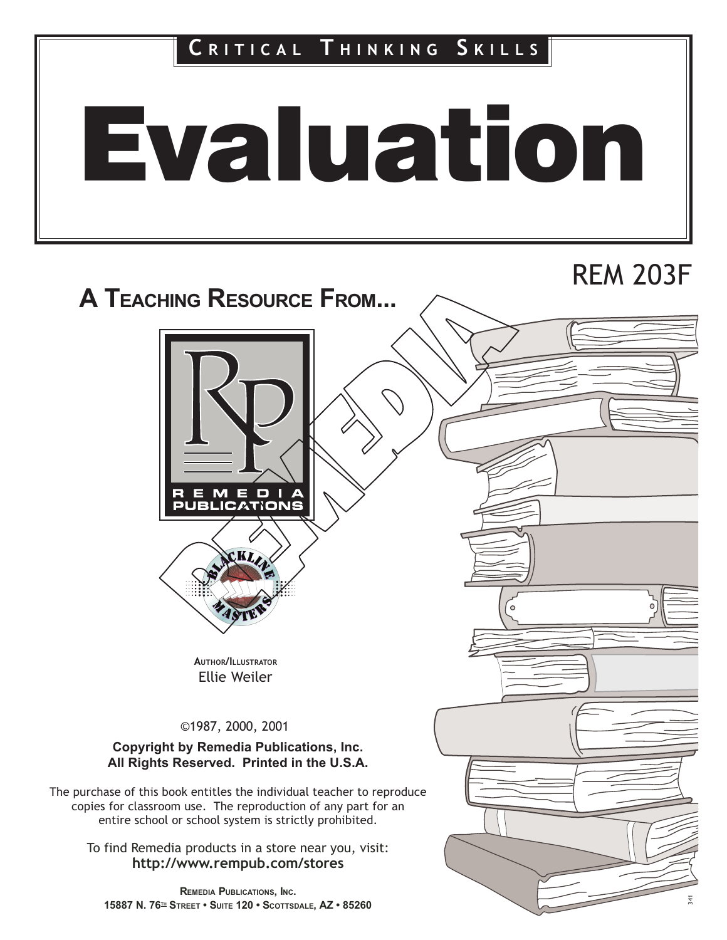# Evaluation

# REM 203F

# A TEACHING RESOURCE FROM...





AUTHOR/ILLUSTRATOR Ellie Weiler

©1987, 2000, 2001

#### Copyright by Remedia Publications, Inc. All Rights Reserved. Printed in the U.S.A.

The purchase of this book entitles the individual teacher to reproduce copies for classroom use. The reproduction of any part for an entire school or school system is strictly prohibited.

To find Remedia products in a store near you, visit: http://www.rempub.com/stores

REMEDIA PUBLICATIONS, INC. 15887 N. 76TH STREET • SUITE 120 • SCOTTSDALE, AZ • 85260

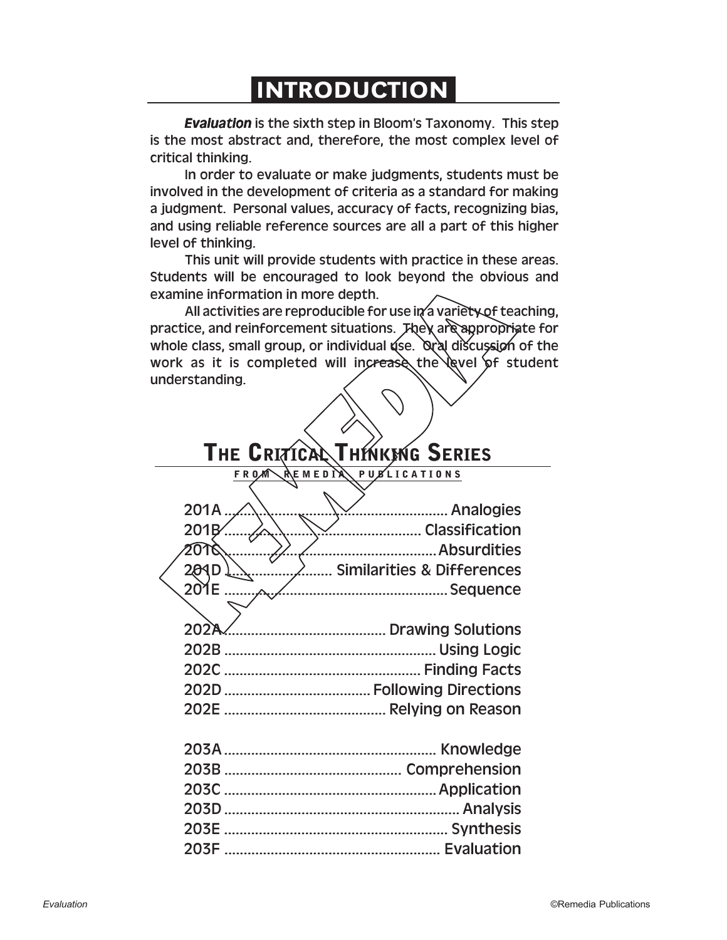## INTRODUCTION

*Evaluation* is the sixth step in Bloom's Taxonomy. This step is the most abstract and, therefore, the most complex level of critical thinking.

In order to evaluate or make judgments, students must be involved in the development of criteria as a standard for making a judgment. Personal values, accuracy of facts, recognizing bias, and using reliable reference sources are all a part of this higher level of thinking.

This unit will provide students with practice in these areas. Students will be encouraged to look beyond the obvious and examine information in more depth.

All activities are reproducible for use in a variety of teaching, practice, and reinforcement situations. They are appropriate for whole class, small group, or individual use. Oral discussion of the work as it is completed will increase the level of student understanding.

## **THE CRITICAL THINKING SERIES**

#### **FROM REMEDIA PUBLICATIONS**

| 201D  Similarities & Differences |
|----------------------------------|
|                                  |
|                                  |
|                                  |
|                                  |
|                                  |
|                                  |
|                                  |
|                                  |
|                                  |
|                                  |
|                                  |
|                                  |
|                                  |
|                                  |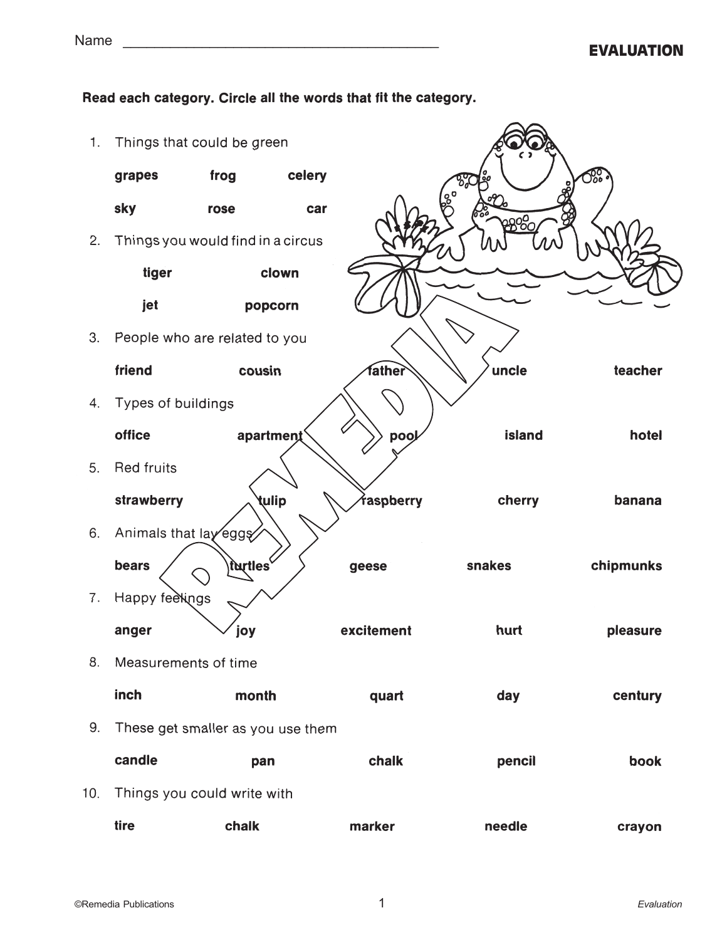#### Read each category. Circle all the words that fit the category.

1. Things that could be green

| grapes | frog | celery |  |
|--------|------|--------|--|
| sky    | rose | car    |  |

2. Things you would find in a circus

| tiger | clown   |  |  |
|-------|---------|--|--|
| jet   | popcorn |  |  |



3. People who are related to you

|     | friend                            | cousin    | father     | uncle  | teacher   |
|-----|-----------------------------------|-----------|------------|--------|-----------|
| 4.  | Types of buildings                |           |            |        |           |
|     | office                            | apartment | pool       | island | hotel     |
| 5.  | <b>Red fruits</b>                 |           |            |        |           |
|     | strawberry                        | tulip     | raspberry  | cherry | banana    |
| 6.  | Animals that lay eggs             |           |            |        |           |
|     | bears                             | turtles   | geese      | snakes | chipmunks |
| 7.  | Happy feelings                    |           |            |        |           |
|     | anger                             | joy       | excitement | hurt   | pleasure  |
| 8.  | Measurements of time              |           |            |        |           |
|     | inch                              | month     | quart      | day    | century   |
| 9.  | These get smaller as you use them |           |            |        |           |
|     | candle                            | pan       | chalk      | pencil | book      |
| 10. | Things you could write with       |           |            |        |           |
|     | tire                              | chalk     | marker     | needle | crayon    |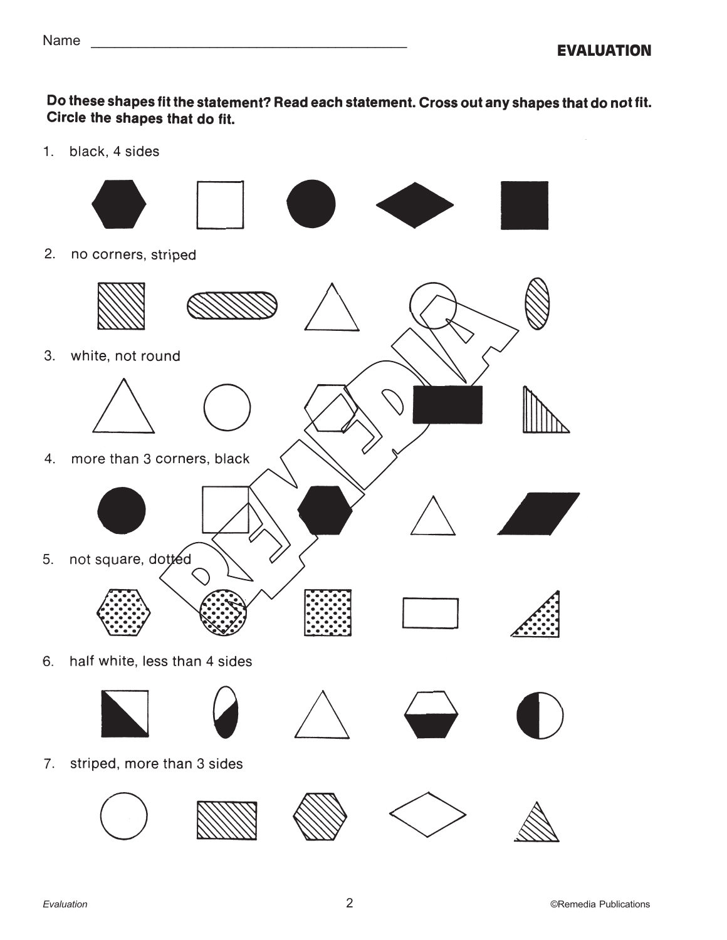$2.$ 

5.

 $\delta$ .

#### Do these shapes fit the statement? Read each statement. Cross out any shapes that do not fit. Circle the shapes that do fit.

1. black, 4 sides

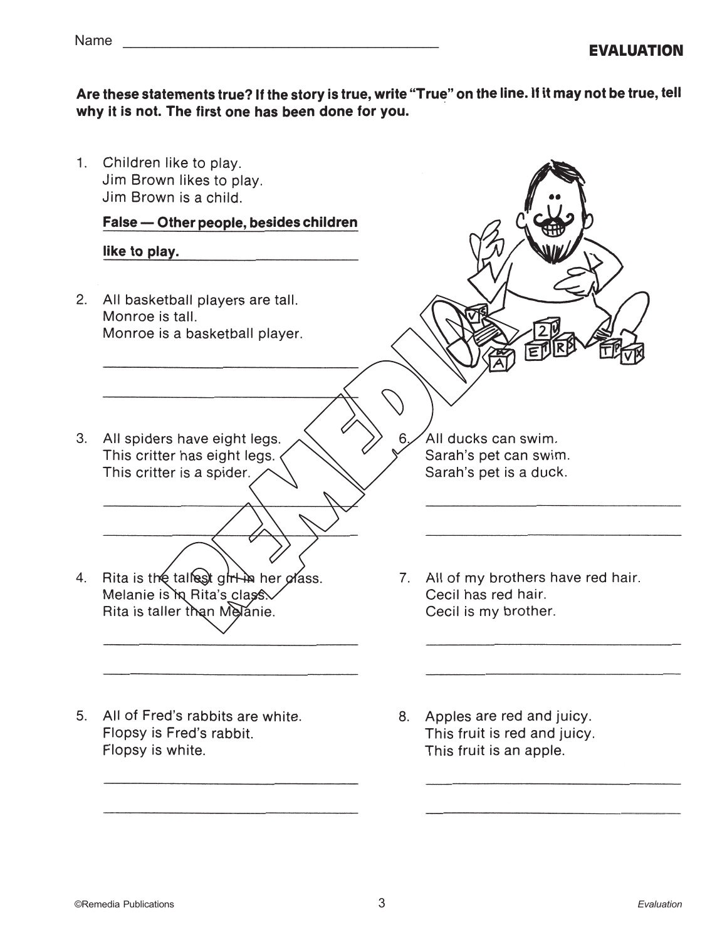Are these statements true? If the story is true, write "True" on the line. If it may not be true, tell why it is not. The first one has been done for you.

1. Children like to play. Jim Brown likes to play. Jim Brown is a child.

#### False - Other people, besides children

like to play.

- 2. All basketball players are tall. Monroe is tall. Monroe is a basketball player.
- 3. All spiders have eight legs. This critter has eight legs. This critter is a spider.
- 4. Rita is the tallest girl in her class. Melanie is in Rita's class. Rita is taller than Melanie.
- 5. All of Fred's rabbits are white. Flopsy is Fred's rabbit. Flopsy is white.
- 6. All ducks can swim. Sarah's pet can swim. Sarah's pet is a duck.
- 7. All of my brothers have red hair. Cecil has red hair. Cecil is my brother.
- 8. Apples are red and juicy. This fruit is red and juicy. This fruit is an apple.

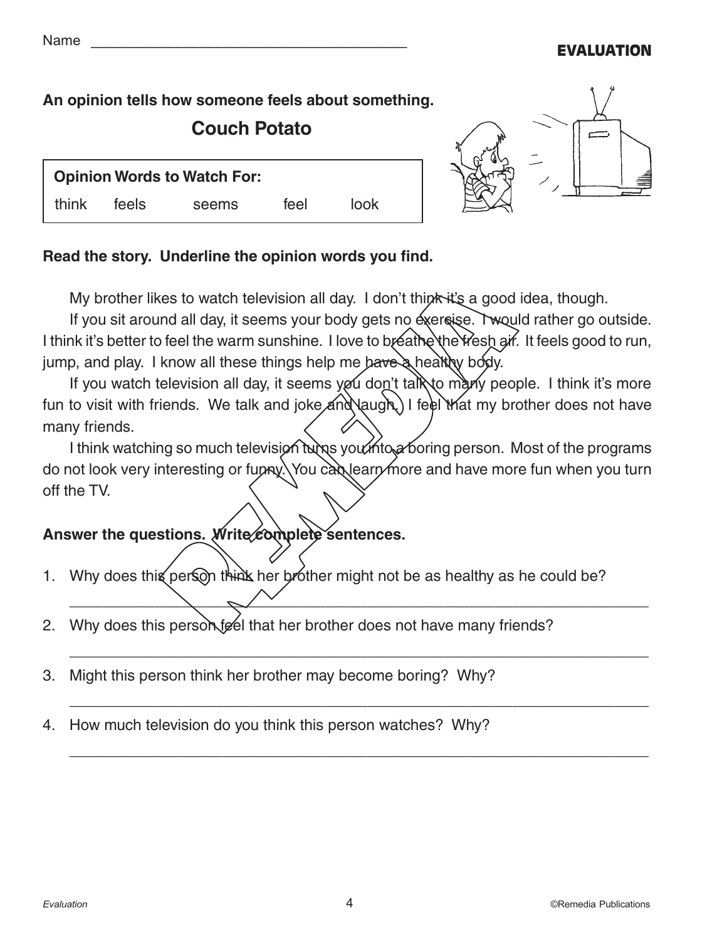### Name \_\_\_\_\_\_\_\_\_\_\_\_\_\_\_\_\_\_\_\_\_\_\_\_\_\_\_\_\_\_\_\_\_\_\_\_\_\_\_\_ **EVALUATION**

#### **An opinion tells how someone feels about something.**

**Couch Potato**

| <b>Opinion Words to Watch For:</b> |       |       |      |      |  |
|------------------------------------|-------|-------|------|------|--|
| think                              | feels | seems | feel | look |  |



#### **Read the story. Underline the opinion words you find.**

My brother likes to watch television all day. I don't think it's a good idea, though.

If you sit around all day, it seems your body gets no exercise. I would rather go outside. I think it's better to feel the warm sunshine. I love to breathe the fresh air. It feels good to run, jump, and play. I know all these things help me have a healthy body.

If you watch television all day, it seems you don't talk to many people. I think it's more fun to visit with friends. We talk and joke and laugh. I feel that my brother does not have many friends.

I think watching so much television turns you into a boring person. Most of the programs do not look very interesting or funny. You can learn more and have more fun when you turn off the TV.

\_\_\_\_\_\_\_\_\_\_\_\_\_\_\_\_\_\_\_\_\_\_\_\_\_\_\_\_\_\_\_\_\_\_\_\_\_\_\_\_\_\_\_\_\_\_\_\_\_\_\_\_\_\_\_\_\_\_\_\_\_\_\_\_\_\_\_\_

\_\_\_\_\_\_\_\_\_\_\_\_\_\_\_\_\_\_\_\_\_\_\_\_\_\_\_\_\_\_\_\_\_\_\_\_\_\_\_\_\_\_\_\_\_\_\_\_\_\_\_\_\_\_\_\_\_\_\_\_\_\_\_\_\_\_\_\_

\_\_\_\_\_\_\_\_\_\_\_\_\_\_\_\_\_\_\_\_\_\_\_\_\_\_\_\_\_\_\_\_\_\_\_\_\_\_\_\_\_\_\_\_\_\_\_\_\_\_\_\_\_\_\_\_\_\_\_\_\_\_\_\_\_\_\_\_

\_\_\_\_\_\_\_\_\_\_\_\_\_\_\_\_\_\_\_\_\_\_\_\_\_\_\_\_\_\_\_\_\_\_\_\_\_\_\_\_\_\_\_\_\_\_\_\_\_\_\_\_\_\_\_\_\_\_\_\_\_\_\_\_\_\_\_\_

#### **Answer the questions. Write complete sentences.**

- 1. Why does this person think her brother might not be as healthy as he could be?
- 2. Why does this person feel that her brother does not have many friends?
- 3. Might this person think her brother may become boring? Why?
- 4. How much television do you think this person watches? Why?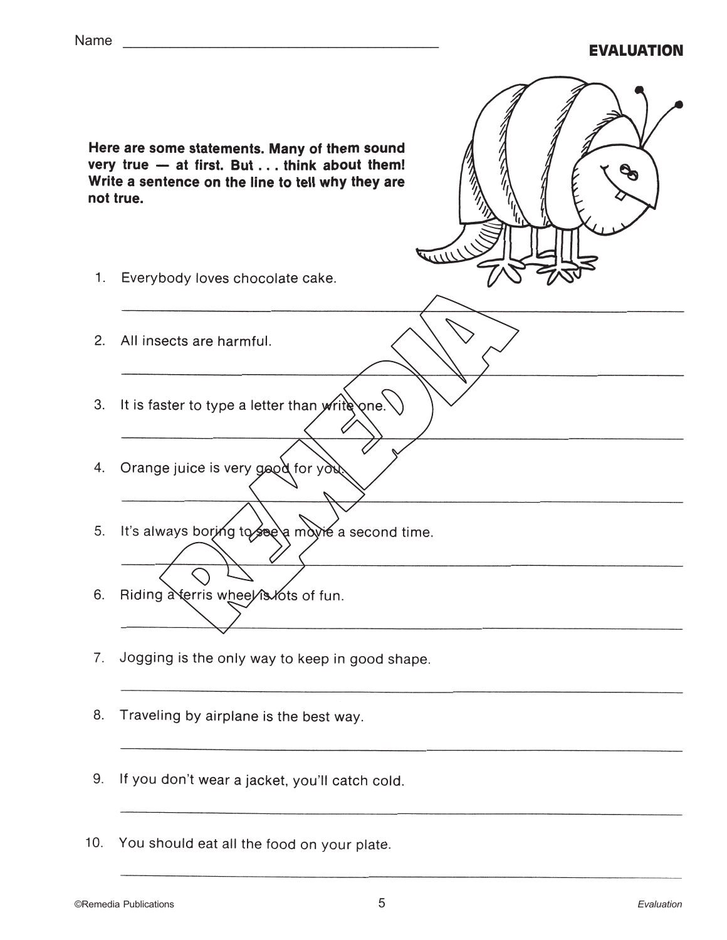Here are some statements. Many of them sound very true - at first. But . . . think about them! Write a sentence on the line to tell why they are not true.

- 1. Everybody loves chocolate cake.
- 2. All insects are harmful.
- 3. It is faster to type a letter than write one.
- 4. Orange juice is very good for you.
- 5. It's always boring to see a movie a second time.
- 6. Riding a ferris wheel is lots of fun.
- 7. Jogging is the only way to keep in good shape.
- 8. Traveling by airplane is the best way.
- 9. If you don't wear a jacket, you'll catch cold.
- 10. You should eat all the food on your plate.